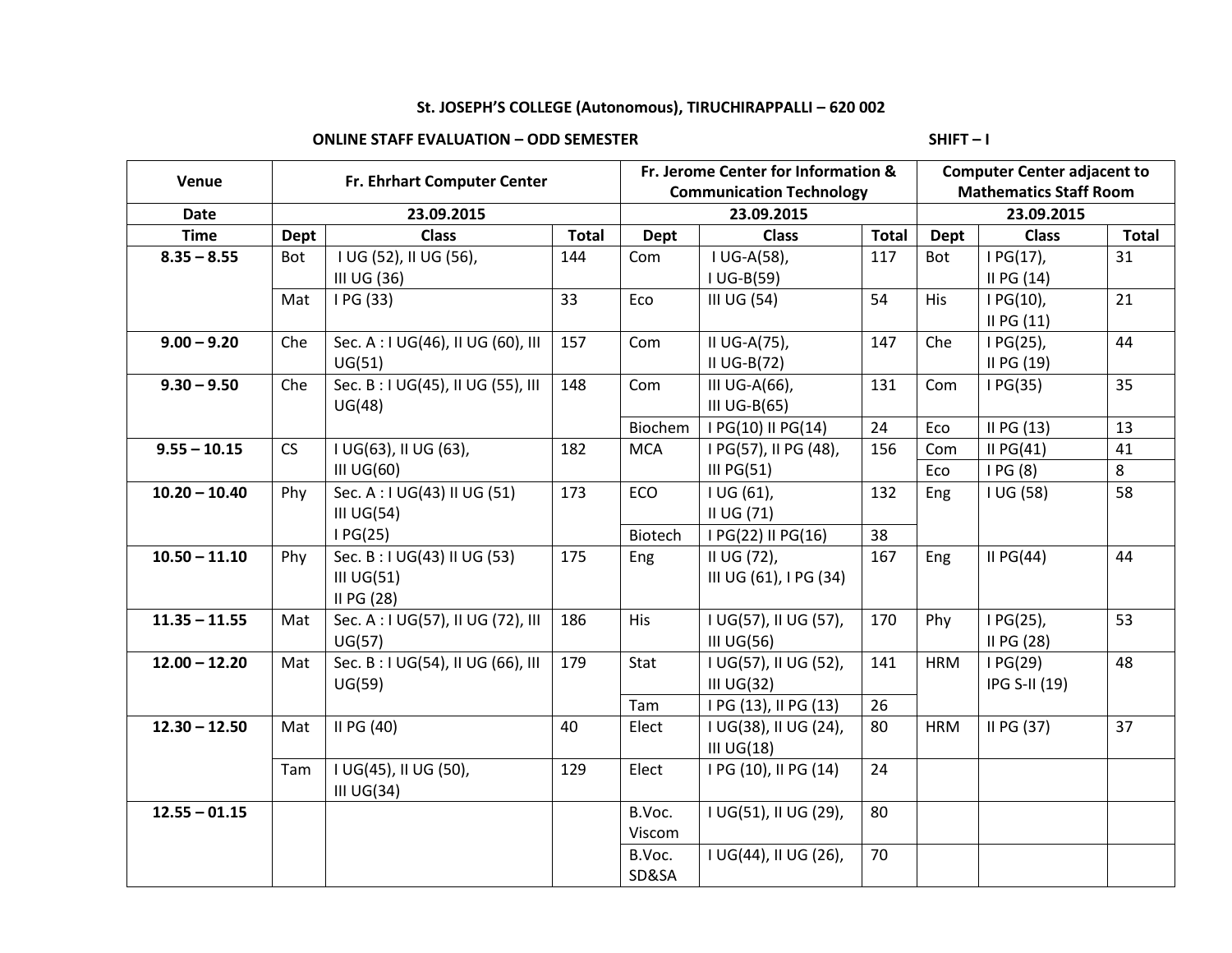# **St. JOSEPH'S COLLEGE (Autonomous), TIRUCHIRAPPALLI – 620 002**

## **ONLINE STAFF EVALUATION – ODD SEMESTER SHIFT – I**

| Venue           | Fr. Ehrhart Computer Center |                                                              |              | Fr. Jerome Center for Information &<br><b>Communication Technology</b> |                                          |              | <b>Computer Center adjacent to</b><br><b>Mathematics Staff Room</b> |                           |              |
|-----------------|-----------------------------|--------------------------------------------------------------|--------------|------------------------------------------------------------------------|------------------------------------------|--------------|---------------------------------------------------------------------|---------------------------|--------------|
|                 |                             |                                                              |              |                                                                        |                                          |              |                                                                     |                           |              |
| Date            | 23.09.2015                  |                                                              |              | 23.09.2015                                                             |                                          |              | 23.09.2015                                                          |                           |              |
| <b>Time</b>     | Dept                        | <b>Class</b>                                                 | <b>Total</b> | <b>Dept</b>                                                            | <b>Class</b>                             | <b>Total</b> | <b>Dept</b>                                                         | <b>Class</b>              | <b>Total</b> |
| $8.35 - 8.55$   | Bot                         | I UG (52), II UG (56),<br>III UG (36)                        | 144          | Com                                                                    | I UG-A(58),<br>$I UG-B(59)$              | 117          | Bot                                                                 | I PG(17),<br>II PG $(14)$ | 31           |
|                 | Mat                         | I PG (33)                                                    | 33           | Eco                                                                    | III UG (54)                              | 54           | <b>His</b>                                                          | $IG(10)$ ,<br>IIPG(11)    | 21           |
| $9.00 - 9.20$   | Che                         | Sec. A: I UG(46), II UG (60), III<br>UG(51)                  | 157          | Com                                                                    | II UG-A(75),<br>II $UG-B(72)$            | 147          | Che                                                                 | $IG(25)$ ,<br>II PG (19)  | 44           |
| $9.30 - 9.50$   | Che                         | Sec. B: I UG(45), II UG (55), III<br>UG(48)                  | 148          | Com                                                                    | III UG-A(66),<br>III UG-B(65)            | 131          | Com                                                                 | IG(35)                    | 35           |
|                 |                             |                                                              |              | Biochem                                                                | I PG(10) II PG(14)                       | 24           | Eco                                                                 | II PG (13)                | 13           |
| $9.55 - 10.15$  | CS                          | I UG(63), II UG (63),                                        | 182          | <b>MCA</b>                                                             | I PG(57), II PG (48),                    | 156          | Com                                                                 | II $PG(41)$               | 41           |
|                 |                             | $III$ UG $(60)$                                              |              |                                                                        | III $PG(51)$                             |              | Eco                                                                 | IPG(8)                    | 8            |
| $10.20 - 10.40$ | Phy                         | Sec. A: I UG(43) II UG (51)<br>III $UG(54)$                  | 173          | ECO                                                                    | I UG (61),<br>II UG (71)                 | 132          | Eng                                                                 | I UG (58)                 | 58           |
|                 |                             | IG(25)                                                       |              | Biotech                                                                | I PG(22) II PG(16)                       | 38           |                                                                     |                           |              |
| $10.50 - 11.10$ | Phy                         | Sec. B: I UG(43) II UG (53)<br>$III$ UG $(51)$<br>II PG (28) | 175          | Eng                                                                    | II UG (72),<br>III UG (61), I PG (34)    | 167          | Eng                                                                 | II $PG(44)$               | 44           |
| $11.35 - 11.55$ | Mat                         | Sec. A: I UG(57), II UG (72), III<br>UG(57)                  | 186          | His                                                                    | I UG(57), II UG (57),<br>$III$ UG $(56)$ | 170          | Phy                                                                 | I PG(25),<br>II PG (28)   | 53           |
| $12.00 - 12.20$ | Mat                         | Sec. B: I UG(54), II UG (66), III<br>UG(59)                  | 179          | Stat                                                                   | I UG(57), II UG (52),<br>$III$ UG $(32)$ | 141          | <b>HRM</b>                                                          | IG(29)<br>IPG S-II (19)   | 48           |
|                 |                             |                                                              |              | Tam                                                                    | I PG (13), II PG (13)                    | 26           |                                                                     |                           |              |
| $12.30 - 12.50$ | Mat                         | II PG (40)                                                   | 40           | Elect                                                                  | I UG(38), II UG (24),<br>$III$ UG $(18)$ | 80           | <b>HRM</b>                                                          | II PG (37)                | 37           |
|                 | Tam                         | I UG(45), II UG (50),<br>III $UG(34)$                        | 129          | Elect                                                                  | I PG (10), II PG (14)                    | 24           |                                                                     |                           |              |
| $12.55 - 01.15$ |                             |                                                              |              | B.Voc.<br>Viscom                                                       | I UG(51), II UG (29),                    | 80           |                                                                     |                           |              |
|                 |                             |                                                              |              | B.Voc.<br>SD&SA                                                        | I UG(44), II UG (26),                    | 70           |                                                                     |                           |              |